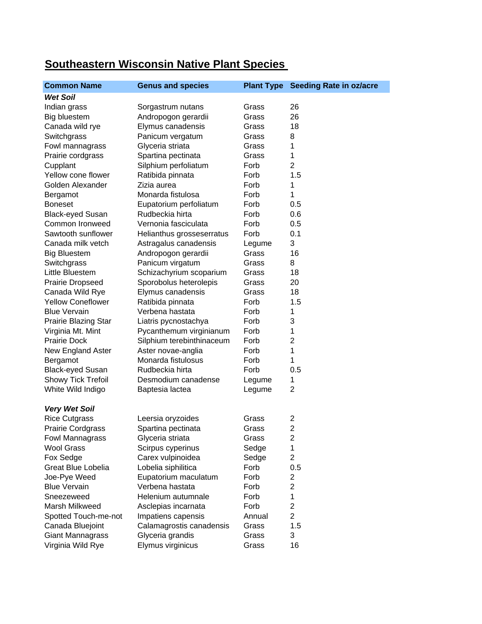## **Common Name Genus and species Plant Type Seeding Rate in oz/acre** *Wet Soil* Indian grass **Sorgastrum nutans** Grass 26 Big bluestem Andropogon gerardii Grass 26 Canada wild rye Elymus canadensis Grass 18 Switchgrass **Panicum vergatum** Grass 8 Fowl mannagrass Glyceria striata Grass 1 Prairie cordgrass Spartina pectinata Grass 1 Cupplant Silphium perfoliatum Forb 2 Yellow cone flower Ratibida pinnata Forb 1.5 Golden Alexander Zizia aurea Forb 1 Bergamot Monarda fistulosa Forb 1 Boneset Eupatorium perfoliatum Forb 0.5 Black-eyed Susan Rudbeckia hirta **Forb** 0.6 Common Ironweed Vernonia fasciculata Forb 0.5 Sawtooth sunflower Helianthus grosseserratus Forb 0.1 Canada milk vetch Astragalus canadensis Legume 3 Big Bluestem Andropogon gerardii Grass 16 Switchgrass **Panicum virgatum** Grass 8 Little Bluestem Schizachyrium scoparium Grass 18 Prairie Dropseed Sporobolus heterolepis Grass 20 Canada Wild Rye Elymus canadensis Grass 18 Yellow Coneflower Ratibida pinnata Forb 1.5 Blue Vervain **Verbena hastata** Forb 1 Prairie Blazing Star Liatris pycnostachya Forb 3 Virginia Mt. Mint Pycanthemum virginianum Forb 1 Prairie Dock Silphium terebinthinaceum Forb 2 New England Aster **Aster novae-anglia** Forb 1 Bergamot Monarda fistulosus Forb 1 Black-eyed Susan Rudbeckia hirta Forb 0.5 Showy Tick Trefoil Desmodium canadense Legume 1 White Wild Indigo Baptesia lactea Legume 2 *Very Wet Soil* Rice Cutgrass **Leersia oryzoides** Grass 2 Prairie Cordgrass Spartina pectinata Grass 2 Fowl Mannagrass Glyceria striata Grass 2 Wool Grass Scirpus cyperinus Sedge 1 Fox Sedge Carex vulpinoidea Sedge 2 Great Blue Lobelia Lobelia siphilitica Forb 0.5 Joe-Pye Weed Eupatorium maculatum Forb 2 Blue Vervain **Verbena hastata** Forb 2 Sneezeweed Helenium autumnale Forb 1 Marsh Milkweed Asclepias incarnata Forb 2 Spotted Touch-me-not Impatiens capensis Annual 2 Canada Bluejoint Calamagrostis canadensis Grass 1.5 Giant Mannagrass Glyceria grandis Grass 3 Virginia Wild Rye **Elymus virginicus** Grass 16

## **Southeastern Wisconsin Native Plant Species**